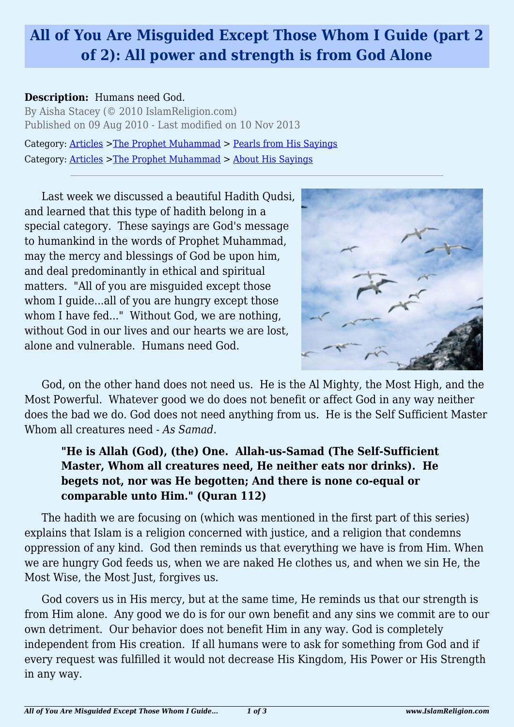# **All of You Are Misguided Except Those Whom I Guide (part 2 of 2): All power and strength is from God Alone**

#### **Description:** Humans need God.

By Aisha Stacey (© 2010 IslamReligion.com) Published on 09 Aug 2010 - Last modified on 10 Nov 2013 Category: [Articles](http://www.islamreligion.com/articles/) >[The Prophet Muhammad](http://www.islamreligion.com/category/79/) > [Pearls from His Sayings](http://www.islamreligion.com/category/80/) Category: [Articles](http://www.islamreligion.com/articles/) >[The Prophet Muhammad](http://www.islamreligion.com/category/79/) > [About His Sayings](http://www.islamreligion.com/category/81/)

Last week we discussed a beautiful Hadith Qudsi, and learned that this type of hadith belong in a special category. These sayings are God's message to humankind in the words of Prophet Muhammad, may the mercy and blessings of God be upon him, and deal predominantly in ethical and spiritual matters. "All of you are misguided except those whom I guide...all of you are hungry except those whom I have fed..." Without God, we are nothing, without God in our lives and our hearts we are lost. alone and vulnerable. Humans need God.



God, on the other hand does not need us. He is the Al Mighty, the Most High, and the Most Powerful. Whatever good we do does not benefit or affect God in any way neither does the bad we do. God does not need anything from us. He is the Self Sufficient Master Whom all creatures need - *As Samad*.

## **"He is Allah (God), (the) One. Allah-us-Samad (The Self-Sufficient Master, Whom all creatures need, He neither eats nor drinks). He begets not, nor was He begotten; And there is none co-equal or comparable unto Him." (Quran 112)**

The hadith we are focusing on (which was mentioned in the first part of this series) explains that Islam is a religion concerned with justice, and a religion that condemns oppression of any kind. God then reminds us that everything we have is from Him. When we are hungry God feeds us, when we are naked He clothes us, and when we sin He, the Most Wise, the Most Just, forgives us.

God covers us in His mercy, but at the same time, He reminds us that our strength is from Him alone. Any good we do is for our own benefit and any sins we commit are to our own detriment. Our behavior does not benefit Him in any way. God is completely independent from His creation. If all humans were to ask for something from God and if every request was fulfilled it would not decrease His Kingdom, His Power or His Strength in any way.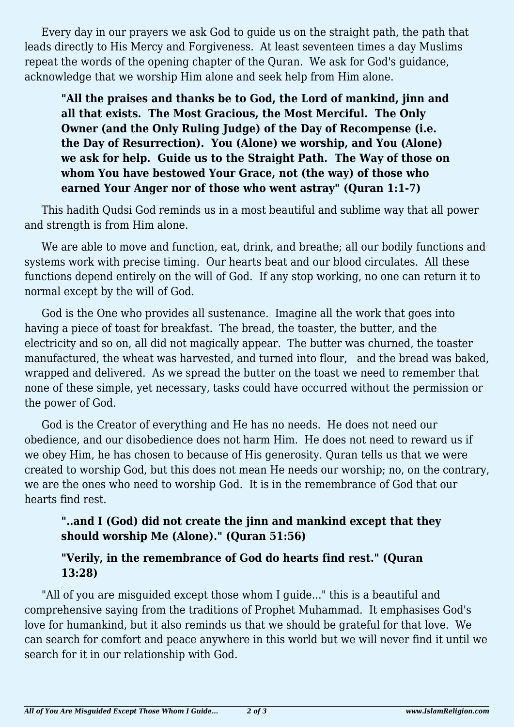Every day in our prayers we ask God to guide us on the straight path, the path that leads directly to His Mercy and Forgiveness. At least seventeen times a day Muslims repeat the words of the opening chapter of the Quran. We ask for God's guidance, acknowledge that we worship Him alone and seek help from Him alone.

**"All the praises and thanks be to God, the Lord of mankind, jinn and all that exists. The Most Gracious, the Most Merciful. The Only Owner (and the Only Ruling Judge) of the Day of Recompense (i.e. the Day of Resurrection). You (Alone) we worship, and You (Alone) we ask for help. Guide us to the Straight Path. The Way of those on whom You have bestowed Your Grace, not (the way) of those who earned Your Anger nor of those who went astray" (Quran 1:1-7)**

This hadith Qudsi God reminds us in a most beautiful and sublime way that all power and strength is from Him alone.

We are able to move and function, eat, drink, and breathe; all our bodily functions and systems work with precise timing. Our hearts beat and our blood circulates. All these functions depend entirely on the will of God. If any stop working, no one can return it to normal except by the will of God.

God is the One who provides all sustenance. Imagine all the work that goes into having a piece of toast for breakfast. The bread, the toaster, the butter, and the electricity and so on, all did not magically appear. The butter was churned, the toaster manufactured, the wheat was harvested, and turned into flour, and the bread was baked, wrapped and delivered. As we spread the butter on the toast we need to remember that none of these simple, yet necessary, tasks could have occurred without the permission or the power of God.

God is the Creator of everything and He has no needs. He does not need our obedience, and our disobedience does not harm Him. He does not need to reward us if we obey Him, he has chosen to because of His generosity. Quran tells us that we were created to worship God, but this does not mean He needs our worship; no, on the contrary, we are the ones who need to worship God. It is in the remembrance of God that our hearts find rest.

## **"..and I (God) did not create the jinn and mankind except that they should worship Me (Alone)." (Quran 51:56)**

## **"Verily, in the remembrance of God do hearts find rest." (Quran 13:28)**

"All of you are misguided except those whom I guide..." this is a beautiful and comprehensive saying from the traditions of Prophet Muhammad. It emphasises God's love for humankind, but it also reminds us that we should be grateful for that love. We can search for comfort and peace anywhere in this world but we will never find it until we search for it in our relationship with God.